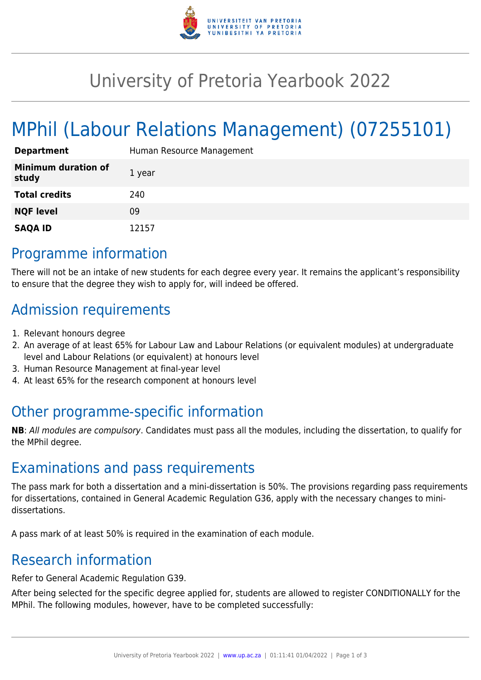

## University of Pretoria Yearbook 2022

# MPhil (Labour Relations Management) (07255101)

| <b>Department</b>                   | Human Resource Management |
|-------------------------------------|---------------------------|
| <b>Minimum duration of</b><br>study | 1 year                    |
| <b>Total credits</b>                | 240                       |
| <b>NQF level</b>                    | 09                        |
| <b>SAQA ID</b>                      | 12157                     |

#### Programme information

There will not be an intake of new students for each degree every year. It remains the applicant's responsibility to ensure that the degree they wish to apply for, will indeed be offered.

### Admission requirements

- 1. Relevant honours degree
- 2. An average of at least 65% for Labour Law and Labour Relations (or equivalent modules) at undergraduate level and Labour Relations (or equivalent) at honours level
- 3. Human Resource Management at final-year level
- 4. At least 65% for the research component at honours level

### Other programme-specific information

**NB**: All modules are compulsory. Candidates must pass all the modules, including the dissertation, to qualify for the MPhil degree.

#### Examinations and pass requirements

The pass mark for both a dissertation and a mini-dissertation is 50%. The provisions regarding pass requirements for dissertations, contained in General Academic Regulation G36, apply with the necessary changes to minidissertations.

A pass mark of at least 50% is required in the examination of each module.

#### Research information

Refer to General Academic Regulation G39.

After being selected for the specific degree applied for, students are allowed to register CONDITIONALLY for the MPhil. The following modules, however, have to be completed successfully: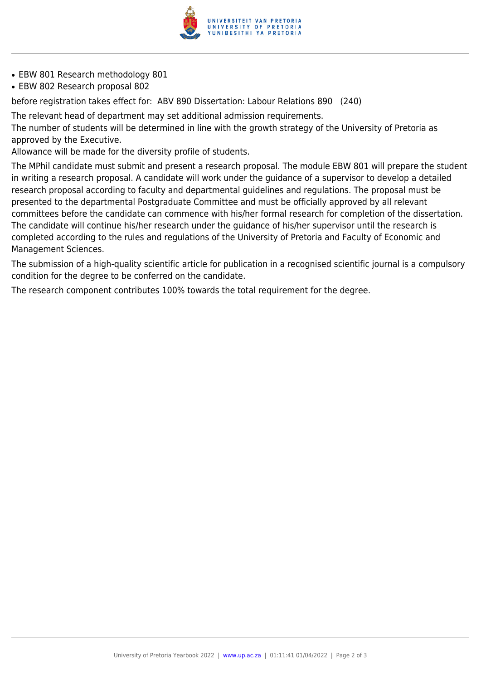

- EBW 801 Research methodology 801
- EBW 802 Research proposal 802

before registration takes effect for: ABV 890 Dissertation: Labour Relations 890 (240)

The relevant head of department may set additional admission requirements.

The number of students will be determined in line with the growth strategy of the University of Pretoria as approved by the Executive.

Allowance will be made for the diversity profile of students.

The MPhil candidate must submit and present a research proposal. The module EBW 801 will prepare the student in writing a research proposal. A candidate will work under the guidance of a supervisor to develop a detailed research proposal according to faculty and departmental guidelines and regulations. The proposal must be presented to the departmental Postgraduate Committee and must be officially approved by all relevant committees before the candidate can commence with his/her formal research for completion of the dissertation. The candidate will continue his/her research under the guidance of his/her supervisor until the research is completed according to the rules and regulations of the University of Pretoria and Faculty of Economic and Management Sciences.

The submission of a high-quality scientific article for publication in a recognised scientific journal is a compulsory condition for the degree to be conferred on the candidate.

The research component contributes 100% towards the total requirement for the degree.